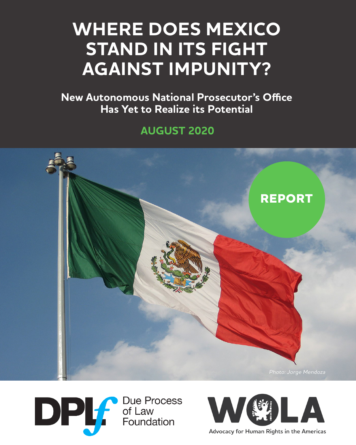# **WHERE DOES MEXICO STAND IN ITS FIGHT AGAINST IMPUNITY?**

**New Autonomous National Prosecutor's Office Has Yet to Realize its Potential**

**AUGUST 2020**







Advocacy for Human Rights in the Americas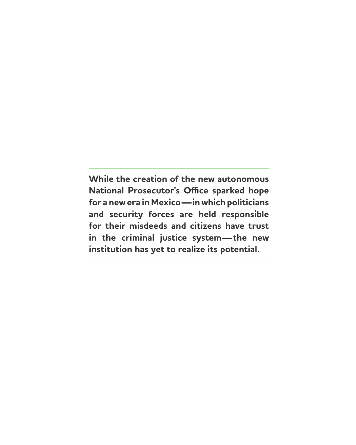**While the creation of the new autonomous National Prosecutor's Office sparked hope for a new era in Mexico—in which politicians and security forces are held responsible for their misdeeds and citizens have trust in the criminal justice system—the new institution has yet to realize its potential.**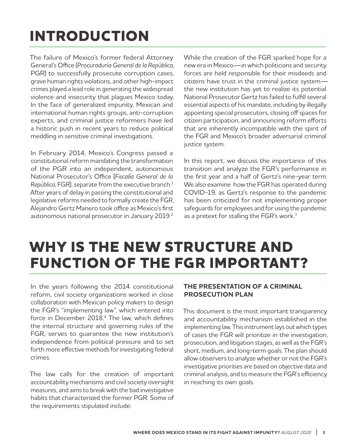# **INTRODUCTION**

The failure of Mexico's former federal Attorney General's Office (*Procuraduría General de la República*, PGR) to successfully prosecute corruption cases, grave human rights violations, and other high-impact crimes played a lead role in generating the widespread violence and insecurity that plagues Mexico today. In the face of generalized impunity, Mexican and international human rights groups, anti-corruption experts, and criminal justice reformers have led a historic push in recent years to reduce political meddling in sensitive criminal investigations.

In February 2014, Mexico's Congress passed a constitutional reform mandating the transformation of the PGR into an independent, autonomous National Prosecutor's Office (*Fiscalía General de la República*, FGR), separate from the executive branch.1 After years of delay in passing the constitutional and legislative reforms needed to formally create the FGR, Alejandro Gertz Manero took office as Mexico's first autonomous national prosecutor in January 2019.<sup>2</sup> While the creation of the FGR sparked hope for a new era in Mexico—in which politicians and security forces are held responsible for their misdeeds and citizens have trust in the criminal justice system the new institution has yet to realize its potential. National Prosecutor Gertz has failed to fulfill several essential aspects of his mandate, including by illegally appointing special prosecutors, closing off spaces for citizen participation, and announcing reform efforts that are inherently incompatible with the spirit of the FGR and Mexico's broader adversarial criminal justice system.

In this report, we discuss the importance of this transition and analyze the FGR's performance in the first year and a half of Gertz's nine-year term. We also examine how the FGR has operated during COVID-19, as Gertz's response to the pandemic has been criticized for not implementing proper safeguards for employees and for using the pandemic as a pretext for stalling the FGR's work.<sup>3</sup>

## **WHY IS THE NEW STRUCTURE AND FUNCTION OF THE FGR IMPORTANT?**

In the years following the 2014 constitutional reform, civil society organizations worked in close collaboration with Mexican policy makers to design the FGR's "implementing law", which entered into force in December 2018.<sup>4</sup> The law, which defines the internal structure and governing rules of the FGR, serves to guarantee the new institution's independence from political pressure and to set forth more effective methods for investigating federal crimes.

The law calls for the creation of important accountability mechanisms and civil society oversight measures, and aims to break with the bad investigative habits that characterized the former PGR. Some of the requirements stipulated include:

### **THE PRESENTATION OF A CRIMINAL PROSECUTION PLAN**

This document is the most important transparency and accountability mechanism established in the implementing law. This instrument lays out which types of cases the FGR will prioritize in the investigation, prosecution, and litigation stages, as well as the FGR's short, medium, and long-term goals. The plan should allow observers to analyze whether or not the FGR's investigative priorities are based on objective data and criminal analysis, and to measure the FGR's efficiency in reaching its own goals.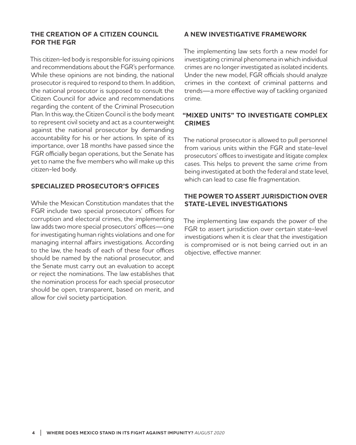#### **THE CREATION OF A CITIZEN COUNCIL FOR THE FGR**

This citizen-led body is responsible for issuing opinions and recommendations about the FGR's performance. While these opinions are not binding, the national prosecutor is required to respond to them. In addition, the national prosecutor is supposed to consult the Citizen Council for advice and recommendations regarding the content of the Criminal Prosecution Plan. In this way, the Citizen Council is the body meant to represent civil society and act as a counterweight against the national prosecutor by demanding accountability for his or her actions. In spite of its importance, over 18 months have passed since the FGR officially began operations, but the Senate has yet to name the five members who will make up this citizen-led body.

### **SPECIALIZED PROSECUTOR'S OFFICES**

While the Mexican Constitution mandates that the FGR include two special prosecutors' offices for corruption and electoral crimes, the implementing law adds two more special prosecutors' offices—one for investigating human rights violations and one for managing internal affairs investigations. According to the law, the heads of each of these four offices should be named by the national prosecutor, and the Senate must carry out an evaluation to accept or reject the nominations. The law establishes that the nomination process for each special prosecutor should be open, transparent, based on merit, and allow for civil society participation.

#### **A NEW INVESTIGATIVE FRAMEWORK**

The implementing law sets forth a new model for investigating criminal phenomena in which individual crimes are no longer investigated as isolated incidents. Under the new model, FGR officials should analyze crimes in the context of criminal patterns and trends—a more effective way of tackling organized crime.

### **"MIXED UNITS" TO INVESTIGATE COMPLEX CRIMES**

The national prosecutor is allowed to pull personnel from various units within the FGR and state-level prosecutors' offices to investigate and litigate complex cases. This helps to prevent the same crime from being investigated at both the federal and state level, which can lead to case file fragmentation.

### **THE POWER TO ASSERT JURISDICTION OVER STATE-LEVEL INVESTIGATIONS**

The implementing law expands the power of the FGR to assert jurisdiction over certain state-level investigations when it is clear that the investigation is compromised or is not being carried out in an objective, effective manner.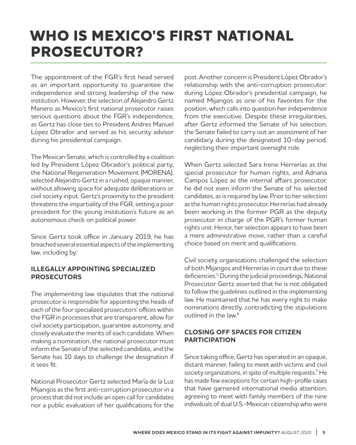## **WHO IS MEXICO'S FIRST NATIONAL PROSECUTOR?**

The appointment of the FGR's first head served as an important opportunity to guarantee the independence and strong leadership of the new institution. However, the selection of Alejandro Gertz Manero as Mexico's first national prosecutor raises serious questions about the FGR's independence, as Gertz has close ties to President Andres Manuel López Obrador and served as his security advisor during his presidential campaign.

The Mexican Senate, which is controlled by a coalition led by President López Obrador's political party, the National Regeneration Movement (MORENA), selected Alejandro Gertz in a rushed, opaque manner, without allowing space for adequate deliberations or civil society input. Gertz's proximity to the president threatens the impartiality of the FGR, setting a poor precedent for the young institution's future as an autonomous check on political power.

Since Gertz took office in January 2019, he has breached several essential aspects of the implementing law, including by:

#### **ILLEGALLY APPOINTING SPECIALIZED PROSECUTORS**

The implementing law stipulates that the national prosecutor is responsible for appointing the heads of each of the four specialized prosecutors' offices within the FGR in processes that are transparent, allow for civil society participation, guarantee autonomy, and closely evaluate the merits of each candidate. When making a nomination, the national prosecutor must inform the Senate of the selected candidate, and the Senate has 10 days to challenge the designation if it sees fit.

National Prosecutor Gertz selected María de la Luz Mijangos as the first anti-corruption prosecutor in a process that did not include an open call for candidates nor a public evaluation of her qualifications for the post. Another concern is President López Obrador's relationship with the anti-corruption prosecutor: during López Obrador's presidential campaign, he named Mijangos as one of his favorites for the position, which calls into question her independence from the executive. Despite these irregularities, after Gertz informed the Senate of his selection, the Senate failed to carry out an assessment of her candidacy during the designated 10-day period, neglecting their important oversight role.

When Gertz selected Sara Irene Herrerías as the special prosecutor for human rights, and Adriana Campos López as the internal affairs prosecutor, he did not even inform the Senate of his selected candidates, as is required by law. Prior to her selection as the human rights prosecutor, Herrerías had already been working in the former PGR as the deputy prosecutor in charge of the PGR's former human rights unit. Hence, her selection appears to have been a mere administrative move, rather than a careful choice based on merit and qualifications.

Civil society organizations challenged the selection of both Mijangos and Herrerías in court due to these deficiencies.5 During the judicial proceedings, National Prosecutor Gertz asserted that he is not obligated to follow the guidelines outlined in the implementing law. He maintained that he has every right to make nominations directly, contradicting the stipulations outlined in the law.6

### **CLOSING OFF SPACES FOR CITIZEN PARTICIPATION**

Since taking office, Gertz has operated in an opaque, distant manner, failing to meet with victims and civil society organizations, in spite of multiple requests.7 He has made few exceptions for certain high-profile cases that have garnered international media attention, agreeing to meet with family members of the nine individuals of dual U.S.-Mexican citizenship who were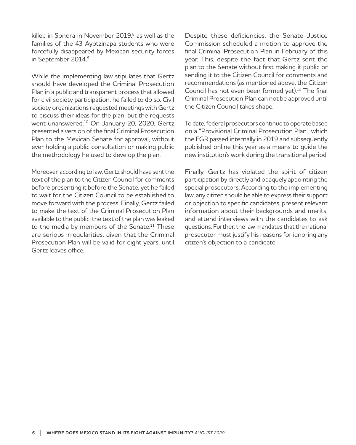killed in Sonora in November 2019,<sup>8</sup> as well as the families of the 43 Ayotzinapa students who were forcefully disappeared by Mexican security forces in September 2014.<sup>9</sup>

While the implementing law stipulates that Gertz should have developed the Criminal Prosecution Plan in a public and transparent process that allowed for civil society participation, he failed to do so. Civil society organizations requested meetings with Gertz to discuss their ideas for the plan, but the requests went unanswered.10 On January 20, 2020, Gertz presented a version of the final Criminal Prosecution Plan to the Mexican Senate for approval, without ever holding a public consultation or making public the methodology he used to develop the plan.

Moreover, according to law, Gertz should have sent the text of the plan to the Citizen Council for comments before presenting it before the Senate, yet he failed to wait for the Citizen Council to be established to move forward with the process. Finally, Gertz failed to make the text of the Criminal Prosecution Plan available to the public: the text of the plan was leaked to the media by members of the Senate.<sup>11</sup> These are serious irregularities, given that the Criminal Prosecution Plan will be valid for eight years, until Gertz leaves office.

Despite these deficiencies, the Senate Justice Commission scheduled a motion to approve the final Criminal Prosecution Plan in February of this year. This, despite the fact that Gertz sent the plan to the Senate without first making it public or sending it to the Citizen Council for comments and recommendations (as mentioned above, the Citizen Council has not even been formed yet).<sup>12</sup> The final Criminal Prosecution Plan can not be approved until the Citizen Council takes shape.

To date, federal prosecutors continue to operate based on a "Provisional Criminal Prosecution Plan", which the FGR passed internally in 2019 and subsequently published online this year as a means to guide the new institution's work during the transitional period.

Finally, Gertz has violated the spirit of citizen participation by directly and opaquely appointing the special prosecutors. According to the implementing law, any citizen should be able to express their support or objection to specific candidates, present relevant information about their backgrounds and merits, and attend interviews with the candidates to ask questions. Further, the law mandates that the national prosecutor must justify his reasons for ignoring any citizen's objection to a candidate.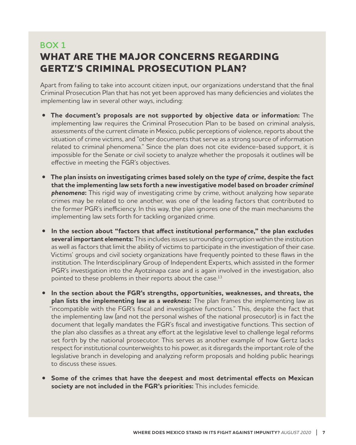### **BOX 1 WHAT ARE THE MAJOR CONCERNS REGARDING GERTZ'S CRIMINAL PROSECUTION PLAN?**

Apart from failing to take into account citizen input, our organizations understand that the final Criminal Prosecution Plan that has not yet been approved has many deficiencies and violates the implementing law in several other ways, including:

- **• The document's proposals are not supported by objective data or information:** The implementing law requires the Criminal Prosecution Plan to be based on criminal analysis, assessments of the current climate in Mexico, public perceptions of violence, reports about the situation of crime victims, and "other documents that serve as a strong source of information related to criminal phenomena." Since the plan does not cite evidence-based support, it is impossible for the Senate or civil society to analyze whether the proposals it outlines will be effective in meeting the FGR's objectives.
- **• The plan insists on investigating crimes based solely on the** *type of crime***, despite the fact that the implementing law sets forth a new investigative model based on broader** *criminal*  **phenomena:** This rigid way of investigating crime by crime, without analyzing how separate crimes may be related to one another, was one of the leading factors that contributed to the former PGR's inefficiency. In this way, the plan ignores one of the main mechanisms the implementing law sets forth for tackling organized crime.
- **• In the section about "factors that affect institutional performance," the plan excludes several important elements:** This includes issues surrounding corruption within the institution as well as factors that limit the ability of victims to participate in the investigation of their case. Victims' groups and civil society organizations have frequently pointed to these flaws in the institution. The Interdisciplinary Group of Independent Experts, which assisted in the former PGR's investigation into the Ayotzinapa case and is again involved in the investigation, also pointed to these problems in their reports about the case.<sup>13</sup>
- **• In the section about the FGR's strengths, opportunities, weaknesses, and threats, the plan lists the implementing law as a** *weakness:* The plan frames the implementing law as "incompatible with the FGR's fiscal and investigative functions." This, despite the fact that the implementing law (and not the personal wishes of the national prosecutor) is in fact the document that legally mandates the FGR's fiscal and investigative functions. This section of the plan also classifies as a threat any effort at the legislative level to challenge legal reforms set forth by the national prosecutor. This serves as another example of how Gertz lacks respect for institutional counterweights to his power, as it disregards the important role of the legislative branch in developing and analyzing reform proposals and holding public hearings to discuss these issues.
- **• Some of the crimes that have the deepest and most detrimental effects on Mexican society are not included in the FGR's priorities:** This includes femicide.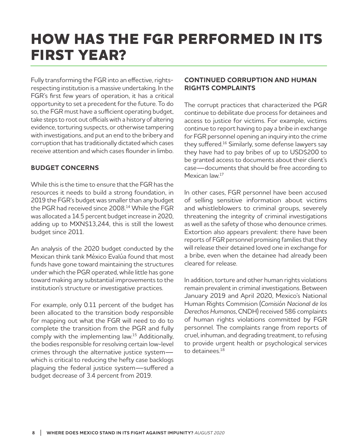## **HOW HAS THE FGR PERFORMED IN ITS FIRST YEAR?**

Fully transforming the FGR into an effective, rightsrespecting institution is a massive undertaking. In the FGR's first few years of operation, it has a critical opportunity to set a precedent for the future. To do so, the FGR must have a sufficient operating budget, take steps to root out officials with a history of altering evidence, torturing suspects, or otherwise tampering with investigations, and put an end to the bribery and corruption that has traditionally dictated which cases receive attention and which cases flounder in limbo.

### **BUDGET CONCERNS**

While this is the time to ensure that the FGR has the resources it needs to build a strong foundation, in 2019 the FGR's budget was smaller than any budget the PGR had received since 2008.<sup>14</sup> While the FGR was allocated a 14.5 percent budget increase in 2020, adding up to MXN\$13,244, this is still the lowest budget since 2011.

An analysis of the 2020 budget conducted by the Mexican think tank México Evalúa found that most funds have gone toward maintaining the structures under which the PGR operated, while little has gone toward making any substantial improvements to the institution's structure or investigative practices.

For example, only 0.11 percent of the budget has been allocated to the transition body responsible for mapping out what the FGR will need to do to complete the transition from the PGR and fully comply with the implementing law.15 Additionally, the bodies responsible for resolving certain low-level crimes through the alternative justice system which is critical to reducing the hefty case backlogs plaguing the federal justice system—suffered a budget decrease of 3.4 percent from 2019.

#### **CONTINUED CORRUPTION AND HUMAN RIGHTS COMPLAINTS**

The corrupt practices that characterized the PGR continue to debilitate due process for detainees and access to justice for victims. For example, victims continue to report having to pay a bribe in exchange for FGR personnel opening an inquiry into the crime they suffered.16 Similarly, some defense lawyers say they have had to pay bribes of up to USD\$200 to be granted access to documents about their client's case—documents that should be free according to Mexican law.17

In other cases, FGR personnel have been accused of selling sensitive information about victims and whistleblowers to criminal groups, severely threatening the integrity of criminal investigations as well as the safety of those who denounce crimes. Extortion also appears prevalent: there have been reports of FGR personnel promising families that they will release their detained loved one in exchange for a bribe, even when the detainee had already been cleared for release.

In addition, torture and other human rights violations remain prevalent in criminal investigations. Between January 2019 and April 2020, Mexico's National Human Rights Commision (*Comisión Nacional de los Derechos Humanos*, CNDH) received 586 complaints of human rights violations committed by FGR personnel. The complaints range from reports of cruel, inhuman, and degrading treatment, to refusing to provide urgent health or psychological services to detainees.18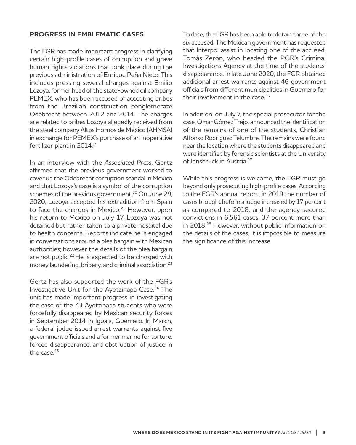#### **PROGRESS IN EMBLEMATIC CASES**

The FGR has made important progress in clarifying certain high-profile cases of corruption and grave human rights violations that took place during the previous administration of Enrique Peña Nieto. This includes pressing several charges against Emilio Lozoya, former head of the state-owned oil company PEMEX, who has been accused of accepting bribes from the Brazilian construction conglomerate Odebrecht between 2012 and 2014. The charges are related to bribes Lozoya allegedly received from the steel company Altos Hornos de México (AHMSA) in exchange for PEMEX's purchase of an inoperative fertilizer plant in 2014.<sup>19</sup>

In an interview with the *Associated Press*, Gertz affirmed that the previous government worked to cover up the Odebrecht corruption scandal in Mexico and that Lozoya's case is a symbol of the corruption schemes of the previous government.<sup>20</sup> On June 29, 2020, Lozoya accepted his extradition from Spain to face the charges in Mexico.<sup>21</sup> However, upon his return to Mexico on July 17, Lozoya was not detained but rather taken to a private hospital due to health concerns. Reports indicate he is engaged in conversations around a plea bargain with Mexican authorities; however the details of the plea bargain are not public.<sup>22</sup> He is expected to be charged with money laundering, bribery, and criminal association.23

Gertz has also supported the work of the FGR's Investigative Unit for the Ayotzinapa Case.<sup>24</sup> The unit has made important progress in investigating the case of the 43 Ayotzinapa students who were forcefully disappeared by Mexican security forces in September 2014 in Iguala, Guerrero. In March, a federal judge issued arrest warrants against five government officials and a former marine for torture, forced disappearance, and obstruction of justice in the case.25

To date, the FGR has been able to detain three of the six accused. The Mexican government has requested that Interpol assist in locating one of the accused, Tomás Zerón, who headed the PGR's Criminal Investigations Agency at the time of the students' disappearance. In late June 2020, the FGR obtained additional arrest warrants against 46 government officials from different municipalities in Guerrero for their involvement in the case.<sup>26</sup>

In addition, on July 7, the special prosecutor for the case, Omar Gómez Trejo, announced the identification of the remains of one of the students, Christian Alfonso Rodríguez Telumbre. The remains were found near the location where the students disappeared and were identified by forensic scientists at the University of Innsbruck in Austria.27

While this progress is welcome, the FGR must go beyond only prosecuting high-profile cases. According to the FGR's annual report, in 2019 the number of cases brought before a judge increased by 17 percent as compared to 2018, and the agency secured convictions in 6,561 cases, 37 percent more than in 2018.28 However, without public information on the details of the cases, it is impossible to measure the significance of this increase.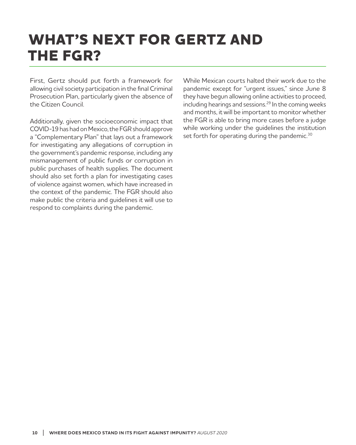## **WHAT'S NEXT FOR GERTZ AND THE FGR?**

First, Gertz should put forth a framework for allowing civil society participation in the final Criminal Prosecution Plan, particularly given the absence of the Citizen Council.

Additionally, given the socioeconomic impact that COVID-19 has had on Mexico, the FGR should approve a "Complementary Plan" that lays out a framework for investigating any allegations of corruption in the government's pandemic response, including any mismanagement of public funds or corruption in public purchases of health supplies. The document should also set forth a plan for investigating cases of violence against women, which have increased in the context of the pandemic. The FGR should also make public the criteria and guidelines it will use to respond to complaints during the pandemic.

While Mexican courts halted their work due to the pandemic except for "urgent issues," since June 8 they have begun allowing online activities to proceed, including hearings and sessions.<sup>29</sup> In the coming weeks and months, it will be important to monitor whether the FGR is able to bring more cases before a judge while working under the guidelines the institution set forth for operating during the pandemic.<sup>30</sup>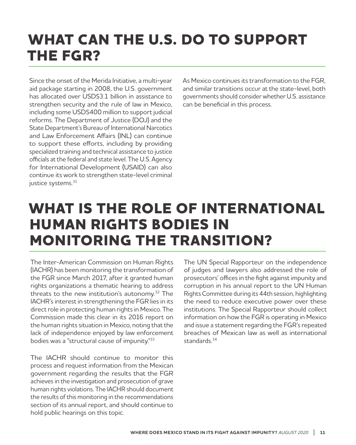## **WHAT CAN THE U.S. DO TO SUPPORT THE FGR?**

Since the onset of the Merida Initiative, a multi-year aid package starting in 2008, the U.S. government has allocated over USD\$3.1 billion in assistance to strengthen security and the rule of law in Mexico, including some USD\$400 million to support judicial reforms. The Department of Justice (DOJ) and the State Department's Bureau of International Narcotics and Law Enforcement Affairs (INL) can continue to support these efforts, including by providing specialized training and technical assistance to justice officials at the federal and state level. The U.S. Agency for International Development (USAID) can also continue its work to strengthen state-level criminal justice systems.<sup>31</sup>

As Mexico continues its transformation to the FGR, and similar transitions occur at the state-level, both governments should consider whether U.S. assistance can be beneficial in this process.

### **WHAT IS THE ROLE OF INTERNATIONAL HUMAN RIGHTS BODIES IN MONITORING THE TRANSITION?**

The Inter-American Commission on Human Rights (IACHR) has been monitoring the transformation of the FGR since March 2017, after it granted human rights organizations a thematic hearing to address threats to the new institution's autonomy.32 The IACHR's interest in strengthening the FGR lies in its direct role in protecting human rights in Mexico. The Commission made this clear in its 2016 report on the human rights situation in Mexico, noting that the lack of independence enjoyed by law enforcement bodies was a "structural cause of impunity."33

The IACHR should continue to monitor this process and request information from the Mexican government regarding the results that the FGR achieves in the investigation and prosecution of grave human rights violations. The IACHR should document the results of this monitoring in the recommendations section of its annual report, and should continue to hold public hearings on this topic.

The UN Special Rapporteur on the independence of judges and lawyers also addressed the role of prosecutors' offices in the fight against impunity and corruption in his annual report to the UN Human Rights Committee during its 44th session, highlighting the need to reduce executive power over these institutions. The Special Rapporteur should collect information on how the FGR is operating in Mexico and issue a statement regarding the FGR's repeated breaches of Mexican law as well as international standards.<sup>34</sup>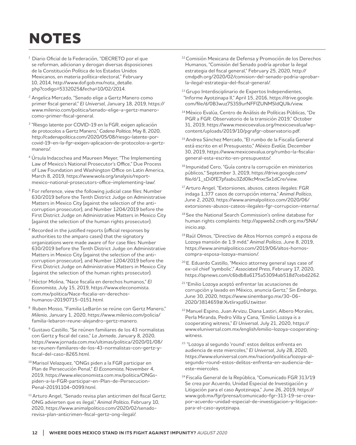## **NOTES**

- <sup>1</sup> Diario Oficial de la Federación, "DECRETO por el que se reforman, adicionan y derogan diversas disposiciones de la Constitución Política de los Estados Unidos Mexicanos, en materia política-electoral," February 10, 2014, http://www.dof.gob.mx/nota\_detalle. php?codigo=5332025&fecha=10/02/2014.
- <sup>2</sup>Angelica Mercado, "Senado elige a Gertz Manero como primer fiscal general," *El Universal*, January 18, 2019, https:// www.milenio.com/politica/senado-elige-a-gertz-manerocomo-primer-fiscal-general.
- <sup>3</sup>"Riesgo latente por COVID-19 en la FGR, exigen aplicación de protocolos a Gertz Manero," *Cadena Politica*, May 8, 2020, http://cadenapolitica.com/2020/05/08/riesgo-latente-porcovid-19-en-la-fgr-exigen-aplicacion-de-protocolos-a-gertzmanero/.
- <sup>4</sup>Úrsula Indacochea and Maureen Meyer, "The Implementing Law of Mexico's National Prosecutor's Office," Due Process of Law Foundation and Washington Office on Latin America, March 8, 2019, https://www.wola.org/analysis/reportmexico-national-prosecutors-office-implementing-law/.
- <sup>5</sup> For reference, view the following judicial case files: Number 630/2019 before the Tenth District Judge on Administrative Matters in Mexico City (against the selection of the anticorruption prosecutor), and Number 1204/2019 before the First District Judge on Administrative Matters in Mexico City (against the selection of the human rights prosecutor).
- $6$  Recorded in the justified reports (official responses by authorities to the amparo cases) that the signatory organizations were made aware of for case files: Number 630/2019 before the Tenth District Judge on Administrative Matters in Mexico City (against the selection of the anticorruption prosecutor), and Number 1204/2019 before the First District Judge on Administrative Matters in Mexico City (against the selection of the human rights prosecutor).
- <sup>7</sup> Héctor Molina, "Nace fiscalía en derechos humanos," *El Economista*, July 15, 2019, https://www.eleconomista. com.mx/politica/Nace-fiscalia-en-derechoshumanos-20190715-0151.html.
- 8 Ruben Mosso, "Familia LeBarón se reúne con Gertz Manero," *Milenio*, January 1, 2020, https://www.milenio.com/policia/ familia-lebaron-reune-alejandro-gertz-manero.
- 9 Gustavo Castillo, "Se reúnen familiares de los 43 normalistas con Gertz y fiscal del caso," *La Jornada*, January 8, 2020, https://www.jornada.com.mx/ultimas/politica/2020/01/08/ se-reunen-familiares-de-los-43-normalistas-con-gertz-yfiscal-del-caso-8265.html.
- 10 Marisol Velazquez, "ONGs piden a la FGR participar en Plan de Persecución Penal," *El Economista*, November 4, 2019, https://www.eleconomista.com.mx/politica/ONGspiden-a-la-FGR-participar-en-Plan-de-Persecucion-Penal-20191104-0099.html.
- <sup>11</sup> Arturo Angel, "Senado revisa plan anticrimen del fiscal Gertz; ONG advierten que es ilegal," *Animal Politico*, February 10, 2020, https://www.animalpolitico.com/2020/02/senadorevisa-plan-anticrimen-fiscal-gertz-ong-ilegal/.
- 12 Comisión Mexicana de Defensa y Promoción de los Derechos Humanos, "Comisión del Senado podría aprobar la ilegal estrategia del fiscal general," February 25, 2020, http:// cmdpdh.org/2020/02/comision-del-senado-podria-aprobarla-ilegal-estrategia-del-fiscal-general/.
- <sup>13</sup> Grupo Interdisciplinario de Expertos Independientes, "Informe Ayotzinapa II," April 15, 2016, https://drive.google. com/file/d/0B3wuz7S3S9urNFFlZUNMSldQUlk/view.
- 14 México Evalúa, Centro de Análisis de Políticas Públicas, "De PGR a FGR: Observatorio de la transición 2019," October 31, 2019, https://www.mexicoevalua.org/mexicoevalua/wpcontent/uploads/2019/10/pgrafgr-observatorio.pdf.
- 15 Andrea Sánchez Mercado, "El rumbo de la Fiscalía General está escrito en el Presupuesto," *México Evalúa*, December 30, 2019, https://www.mexicoevalua.org/rumbo-la-fiscaliageneral-esta-escrito-en-presupuesto/.
- <sup>16</sup> Impunidad Cero, "Guía contra la corrupción en ministerios públicos," September 3, 2019, https://drive.google.com/ file/d/1\_sDi0fE7pfaabu3Zd0lkcMnxcSx1dCre/view.
- <sup>17</sup> Arturo Angel, "Extorsiones, abusos, cateos ilegales: FGR indaga 1,377 casos de corrupción interna," *Animal Político*, June 2, 2020, https://www.animalpolitico.com/2020/06/ extorsiones-abusos-cateos-ilegales-fgr-corrupcion-interna/.
- 18 See the National Search Commission's online database for human rights complaints: http://appweb2.cndh.org.mx/SNA/ inicio.asp.
- 19 Raúl Olmos, "Directivo de Altos Hornos compró a esposa de Lozoya mansión de 1.9 mdd," *Animal Político*, June 8, 2019, https://www.animalpolitico.com/2019/06/altos-hornoscompra-esposa-lozoya-mansion/.
- 20 E. Eduardo Castillo, "Mexico attorney general says case of ex-oil chief 'symbolic'," *Associated Press*, February 17, 2020, https://apnews.com/c6bdb8a6175a53094ab518d7cebd2262.
- 21 "Emilio Lozoya aceptó enfrentar las acusaciones de corrupción y lavado en México, anuncia Gertz," *Sin Embargo*, June 30, 2020, https://www.sinembargo.mx/30-06- 2020/3814659#.Xvtlirxpz6U.twitter.
- 22 Manuel Espino, Juan Arvizu, Diana Lastiri, Albero Morales, Perla Miranda, Pedro Villa y Cana, "Emilio Lozoya is a cooperating witness," *El Universal*, July 21, 2020, https:// www.eluniversal.com.mx/english/emilio-lozoya-cooperatingwitness.
- 23 "Lozoya al segundo 'round': estos delitos enfrenta en audiencia de este miercoles," *El Universal*, July 28, 2020, https://www.eluniversal.com.mx/nacion/politica/lozoya-alsegundo-round-estos-delitos-enfrenta-en-audiencia-deeste-miercoles.
- 24 Fiscalía General de la República, "Comunicado FGR 313/19 Se crea por Acuerdo, Unidad Especial de Investigación y Litigación para el caso Ayotzinapa," June 26, 2019, https:// www.gob.mx/fgr/prensa/comunicado-fgr-313-19-se-creapor-acuerdo-unidad-especial-de-investigacion-y-litigacionpara-el-caso-ayotzinapa.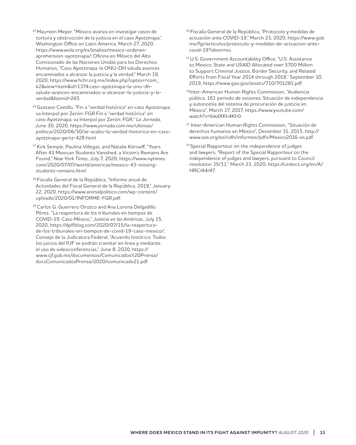- 25 Maureen Meyer, "México avanza en investigar casos de tortura y obstrucción de la justicia en el caso Ayotzinapa," Washington Office on Latin America, March 27, 2020, https://www.wola.org/es/analisis/mexico-ordenesaprehension-ayotzinapa/; Oficina en México del Alto Comisionado de las Naciones Unidas para los Derechos Humanos, "Caso Ayotzinapa: la ONU-DH saluda avances encaminados a alcanzar la justicia y la verdad," March 19, 2020, https://www.hchr.org.mx/index.php?option=com\_ k2&view=item&id=1374:caso-ayotzinapa-la-onu-dhsaluda-avances-encaminados-a-alcanzar-la-justicia-y-laverdad&Itemid=265.
- 26 Gustavo Castillo, "Fin a "verdad histórica" en caso Ayotzinapa; va Interpol por Zerón: FGR Fin a "verdad histórica" en caso Ayotzinapa; va Interpol por Zerón: FGR," *La Jornada*, June 30, 2020, https://www.jornada.com.mx/ultimas/ politica/2020/06/30/se-acabo-la-verdad-historica-en-casoayotzinapa-gertz-428.html.
- <sup>27</sup> Kirk Semple, Paulina Villegas, and Natalie Kitroeff, "Years After 43 Mexican Students Vanished, a Victim's Remains Are Found," *New York Times*, July 7, 2020, https://www.nytimes. com/2020/07/07/world/americas/mexico-43-missingstudents-remains.html.
- 28 Fiscalía General de la República, "Informe anual de Actividades del Fiscal General de la República, 2019," January 22, 2020, https://www.animalpolitico.com/wp-content/ uploads/2020/01/INFORME-FGR.pdf.
- 29 Carlos G. Guerrero Orozco and Ana Lorena Delgadillo Pérez, "La reapertura de los tribunales en tiempos de COVID-19: Caso México," *Justicia en las Américas*, July 15, 2020, https://dplfblog.com/2020/07/15/la-reaperturade-los-tribunales-en-tiempos-de-covid-19-caso-mexico/; Consejo de la Judicatura Federal, "Acuerdo histórico: Todos los juicios del PJF se podrán tramitar en linea y mediante el uso de videoconferencias," June 8, 2020, https:// www.cjf.gob.mx/documentos/Comunicados%20Prensa/ docsComunicadosPrensa/2020/comunicado21.pdf.
- <sup>30</sup> Fiscalía General de la República, "Protocolo y medidas de actuación ante COVID-19," March 23, 2020, https://www.gob. mx/fgr/articulos/protocolo-y-medidas-de-actuacion-antecovid-19?idiom=es.
- <sup>31</sup> U.S. Government Accountability Office, "U.S. Assistance to Mexico: State and USAID Allocated over \$700 Million to Support Criminal Justice, Border Security, and Related Efforts from Fiscal Year 2014 through 2018," September 10, 2019, https://www.gao.gov/assets/710/701281.pdf.
- 32Inter-American Human Rights Commission, "Audiencia pública, 161 periodo de sesiones: Situación de independencia y autonomía del sistema de procuración de justicia en México", March 17, 2017, https://www.youtube.com/ watch?v=bikdXKh4Kh0.
- 33 Inter-American Human Rights Commission, "Situación de derechos humanos en México", December 31, 2015, http:// www.oas.org/es/cidh/informes/pdfs/Mexico2016-es.pdf.
- <sup>34</sup> Special Rapporteur on the independence of judges and lawyers, "Report of the Special Rapporteur on the independence of judges and lawyers, pursuant to Council resolution 35/11," March 23, 2020, https://undocs.org/en/A/ HRC/44/47.